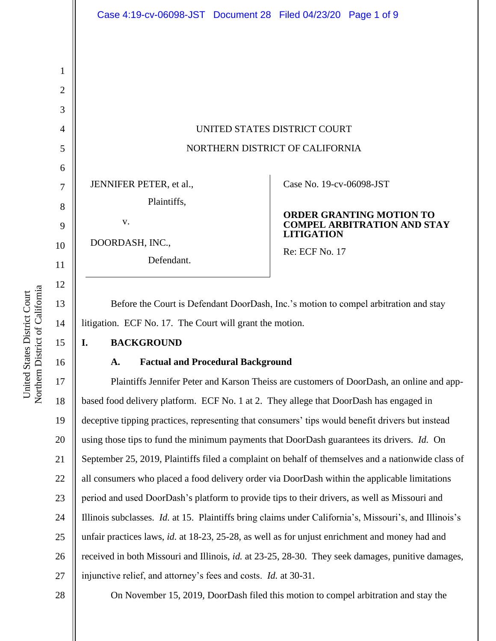United States District Court Northern District of California

Northern District of California United States District Court

|                                                                               | UNITED STATES DISTRICT COURT                                                                                                                    |
|-------------------------------------------------------------------------------|-------------------------------------------------------------------------------------------------------------------------------------------------|
|                                                                               | NORTHERN DISTRICT OF CALIFORNIA                                                                                                                 |
| JENNIFER PETER, et al.,<br>Plaintiffs,<br>V.<br>DOORDASH, INC.,<br>Defendant. | Case No. 19-cv-06098-JST<br><b>ORDER GRANTING MOTION TO</b><br><b>COMPEL ARBITRATION AND STAY</b><br><b>LITIGATION</b><br><b>Re: ECF No. 17</b> |

Before the Court is Defendant DoorDash, Inc.'s motion to compel arbitration and stay litigation. ECF No. 17. The Court will grant the motion.

## **I. BACKGROUND**

## **A. Factual and Procedural Background**

19 20 21 22 23 24 25 26 27 Plaintiffs Jennifer Peter and Karson Theiss are customers of DoorDash, an online and appbased food delivery platform. ECF No. 1 at 2. They allege that DoorDash has engaged in deceptive tipping practices, representing that consumers' tips would benefit drivers but instead using those tips to fund the minimum payments that DoorDash guarantees its drivers. *Id.* On September 25, 2019, Plaintiffs filed a complaint on behalf of themselves and a nationwide class of all consumers who placed a food delivery order via DoorDash within the applicable limitations period and used DoorDash's platform to provide tips to their drivers, as well as Missouri and Illinois subclasses. *Id.* at 15. Plaintiffs bring claims under California's, Missouri's, and Illinois's unfair practices laws, *id.* at 18-23, 25-28, as well as for unjust enrichment and money had and received in both Missouri and Illinois, *id.* at 23-25, 28-30. They seek damages, punitive damages, injunctive relief, and attorney's fees and costs. *Id.* at 30-31.

On November 15, 2019, DoorDash filed this motion to compel arbitration and stay the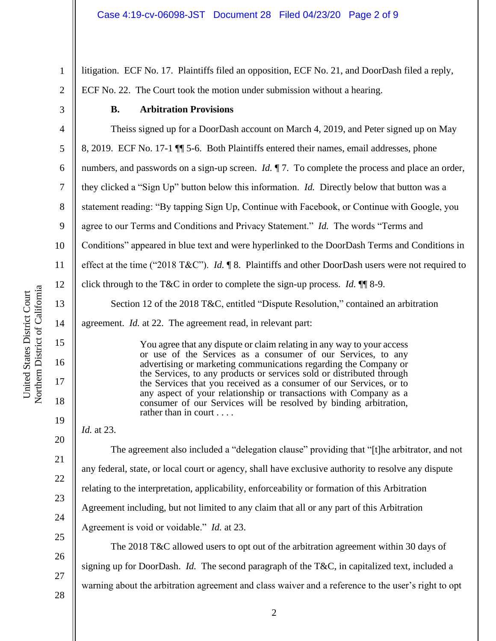litigation. ECF No. 17. Plaintiffs filed an opposition, ECF No. 21, and DoorDash filed a reply, ECF No. 22. The Court took the motion under submission without a hearing.

3

1

2

# **B. Arbitration Provisions**

4 5 6 7 8 9 10 11 12 13 14 15 16 17 18 Theiss signed up for a DoorDash account on March 4, 2019, and Peter signed up on May 8, 2019. ECF No. 17-1 ¶¶ 5-6. Both Plaintiffs entered their names, email addresses, phone numbers, and passwords on a sign-up screen. *Id.*  $\P$  7. To complete the process and place an order, they clicked a "Sign Up" button below this information. *Id.* Directly below that button was a statement reading: "By tapping Sign Up, Continue with Facebook, or Continue with Google, you agree to our Terms and Conditions and Privacy Statement." *Id.* The words "Terms and Conditions" appeared in blue text and were hyperlinked to the DoorDash Terms and Conditions in effect at the time ("2018 T&C"). *Id.* ¶ 8. Plaintiffs and other DoorDash users were not required to click through to the T&C in order to complete the sign-up process. *Id.* ¶¶ 8-9. Section 12 of the 2018 T&C, entitled "Dispute Resolution," contained an arbitration agreement. *Id.* at 22. The agreement read, in relevant part: You agree that any dispute or claim relating in any way to your access or use of the Services as a consumer of our Services, to any advertising or marketing communications regarding the Company or the Services, to any products or services sold or distributed through the Services that you received as a consumer of our Services, or to any aspect of your relationship or transactions with Company as a consumer of our Services will be resolved by binding arbitration, rather than in court . . . . *Id.* at 23. The agreement also included a "delegation clause" providing that "[t]he arbitrator, and not any federal, state, or local court or agency, shall have exclusive authority to resolve any dispute relating to the interpretation, applicability, enforceability or formation of this Arbitration Agreement including, but not limited to any claim that all or any part of this Arbitration

Agreement is void or voidable." *Id.* at 23.

The 2018 T&C allowed users to opt out of the arbitration agreement within 30 days of signing up for DoorDash. *Id.* The second paragraph of the T&C, in capitalized text, included a warning about the arbitration agreement and class waiver and a reference to the user's right to opt

Northern District of California Northern District of California United States District Court United States District Court

26

27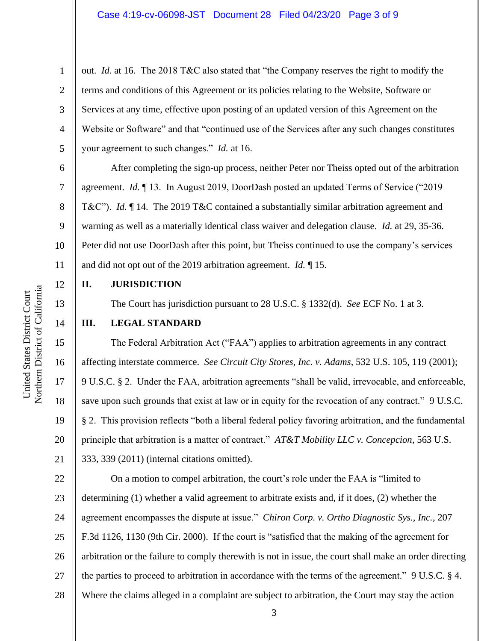out. *Id.* at 16. The 2018 T&C also stated that "the Company reserves the right to modify the terms and conditions of this Agreement or its policies relating to the Website, Software or Services at any time, effective upon posting of an updated version of this Agreement on the Website or Software" and that "continued use of the Services after any such changes constitutes your agreement to such changes." *Id.* at 16.

After completing the sign-up process, neither Peter nor Theiss opted out of the arbitration agreement. *Id.* ¶ 13. In August 2019, DoorDash posted an updated Terms of Service ("2019 T&C"). *Id.* ¶ 14. The 2019 T&C contained a substantially similar arbitration agreement and warning as well as a materially identical class waiver and delegation clause. *Id.* at 29, 35-36. Peter did not use DoorDash after this point, but Theiss continued to use the company's services and did not opt out of the 2019 arbitration agreement. *Id.* ¶ 15.

**II. JURISDICTION**

The Court has jurisdiction pursuant to 28 U.S.C. § 1332(d). *See* ECF No. 1 at 3.

### **III. LEGAL STANDARD**

The Federal Arbitration Act ("FAA") applies to arbitration agreements in any contract affecting interstate commerce. *See Circuit City Stores, Inc. v. Adams*, 532 U.S. 105, 119 (2001); 9 U.S.C. § 2. Under the FAA, arbitration agreements "shall be valid, irrevocable, and enforceable, save upon such grounds that exist at law or in equity for the revocation of any contract." 9 U.S.C. § 2. This provision reflects "both a liberal federal policy favoring arbitration, and the fundamental principle that arbitration is a matter of contract." *AT&T Mobility LLC v. Concepcion*, 563 U.S. 333, 339 (2011) (internal citations omitted).

22 23 24 25 26 27 28 On a motion to compel arbitration, the court's role under the FAA is "limited to determining (1) whether a valid agreement to arbitrate exists and, if it does, (2) whether the agreement encompasses the dispute at issue." *Chiron Corp. v. Ortho Diagnostic Sys., Inc.*, 207 F.3d 1126, 1130 (9th Cir. 2000). If the court is "satisfied that the making of the agreement for arbitration or the failure to comply therewith is not in issue, the court shall make an order directing the parties to proceed to arbitration in accordance with the terms of the agreement." 9 U.S.C. § 4. Where the claims alleged in a complaint are subject to arbitration, the Court may stay the action

1

2

3

4

5

6

7

8

9

10

11

12

13

14

15

16

17

18

19

20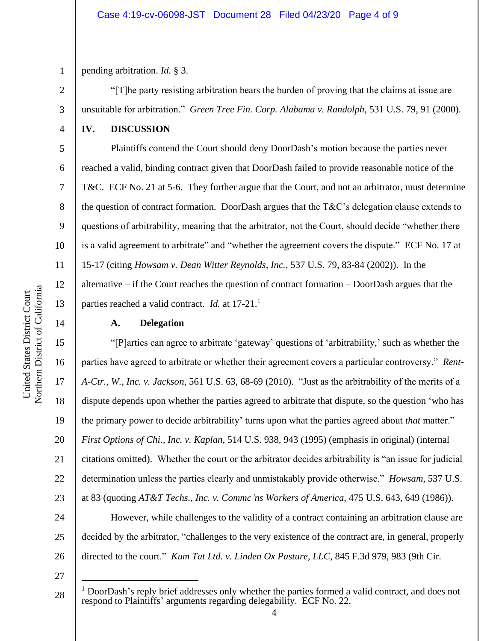pending arbitration. *Id.* § 3.

"[T]he party resisting arbitration bears the burden of proving that the claims at issue are unsuitable for arbitration." *Green Tree Fin. Corp. Alabama v. Randolph*, 531 U.S. 79, 91 (2000).

**IV. DISCUSSION**

1

2

3

4

5

6

7

8

9

10

11

12

13

14

15

16

17

18

19

20

21

22

23

24

25

Plaintiffs contend the Court should deny DoorDash's motion because the parties never reached a valid, binding contract given that DoorDash failed to provide reasonable notice of the T&C. ECF No. 21 at 5-6. They further argue that the Court, and not an arbitrator, must determine the question of contract formation. DoorDash argues that the  $T\&C$ 's delegation clause extends to questions of arbitrability, meaning that the arbitrator, not the Court, should decide "whether there is a valid agreement to arbitrate" and "whether the agreement covers the dispute." ECF No. 17 at 15-17 (citing *Howsam v. Dean Witter Reynolds, Inc.*, 537 U.S. 79, 83-84 (2002)). In the alternative – if the Court reaches the question of contract formation – DoorDash argues that the parties reached a valid contract. *Id.* at 17-21.<sup>1</sup>

### **A. Delegation**

"[P]arties can agree to arbitrate 'gateway' questions of 'arbitrability,' such as whether the parties have agreed to arbitrate or whether their agreement covers a particular controversy." *Rent-A-Ctr., W., Inc. v. Jackson*, 561 U.S. 63, 68-69 (2010). "Just as the arbitrability of the merits of a dispute depends upon whether the parties agreed to arbitrate that dispute, so the question 'who has the primary power to decide arbitrability' turns upon what the parties agreed about *that* matter." *First Options of Chi., Inc. v. Kaplan*, 514 U.S. 938, 943 (1995) (emphasis in original) (internal citations omitted). Whether the court or the arbitrator decides arbitrability is "an issue for judicial determination unless the parties clearly and unmistakably provide otherwise." *Howsam*, 537 U.S. at 83 (quoting *AT&T Techs., Inc. v. Commc'ns Workers of America*, 475 U.S. 643, 649 (1986)).

However, while challenges to the validity of a contract containing an arbitration clause are decided by the arbitrator, "challenges to the very existence of the contract are, in general, properly directed to the court." *Kum Tat Ltd. v. Linden Ox Pasture, LLC*, 845 F.3d 979, 983 (9th Cir.

27

28

 $<sup>1</sup>$  DoorDash's reply brief addresses only whether the parties formed a valid contract, and does not</sup> respond to Plaintiffs' arguments regarding delegability. ECF No. 22.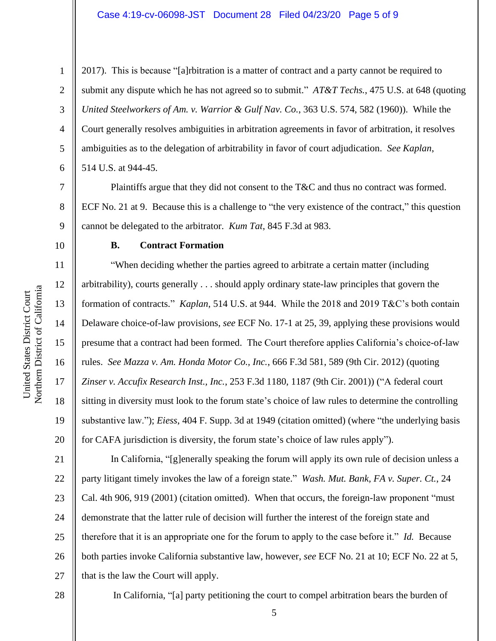1

2

3

4

5

6

7

8

9

10

11

12

13

14

15

United States District Court

United States District Court

16

17

18

19

20

2017). This is because "[a]rbitration is a matter of contract and a party cannot be required to submit any dispute which he has not agreed so to submit." *AT&T Techs.*, 475 U.S. at 648 (quoting *United Steelworkers of Am. v. Warrior & Gulf Nav. Co.*, 363 U.S. 574, 582 (1960)). While the Court generally resolves ambiguities in arbitration agreements in favor of arbitration, it resolves ambiguities as to the delegation of arbitrability in favor of court adjudication. *See Kaplan*, 514 U.S. at 944-45.

Plaintiffs argue that they did not consent to the T&C and thus no contract was formed. ECF No. 21 at 9. Because this is a challenge to "the very existence of the contract," this question cannot be delegated to the arbitrator. *Kum Tat*, 845 F.3d at 983.

## **B. Contract Formation**

"When deciding whether the parties agreed to arbitrate a certain matter (including arbitrability), courts generally . . . should apply ordinary state-law principles that govern the formation of contracts." *Kaplan*, 514 U.S. at 944. While the 2018 and 2019 T&C's both contain Delaware choice-of-law provisions, *see* ECF No. 17-1 at 25, 39, applying these provisions would presume that a contract had been formed. The Court therefore applies California's choice-of-law rules. *See Mazza v. Am. Honda Motor Co., Inc.*, 666 F.3d 581, 589 (9th Cir. 2012) (quoting *Zinser v. Accufix Research Inst., Inc.*, 253 F.3d 1180, 1187 (9th Cir. 2001)) ("A federal court sitting in diversity must look to the forum state's choice of law rules to determine the controlling substantive law."); *Eiess*, 404 F. Supp. 3d at 1949 (citation omitted) (where "the underlying basis for CAFA jurisdiction is diversity, the forum state's choice of law rules apply").

21 22 23 24 25 26 27 In California, "[g]enerally speaking the forum will apply its own rule of decision unless a party litigant timely invokes the law of a foreign state." *Wash. Mut. Bank, FA v. Super. Ct.*, 24 Cal. 4th 906, 919 (2001) (citation omitted). When that occurs, the foreign-law proponent "must demonstrate that the latter rule of decision will further the interest of the foreign state and therefore that it is an appropriate one for the forum to apply to the case before it." *Id.* Because both parties invoke California substantive law, however, *see* ECF No. 21 at 10; ECF No. 22 at 5, that is the law the Court will apply.

28

In California, "[a] party petitioning the court to compel arbitration bears the burden of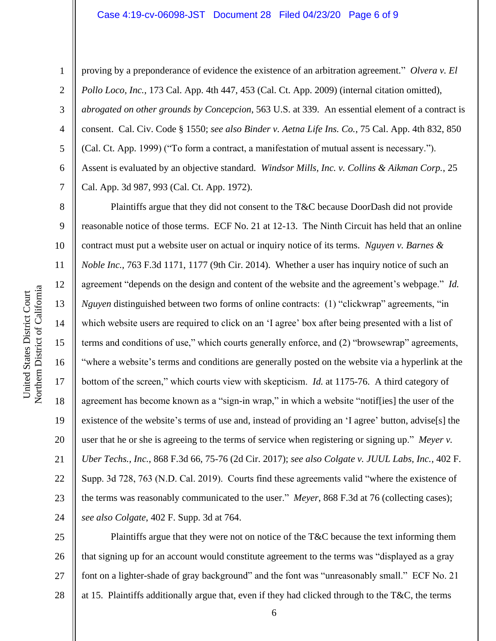#### Case 4:19-cv-06098-JST Document 28 Filed 04/23/20 Page 6 of 9

1

2

3

4

5

6

7

8

9

11

12

13

14

15

17

18

19

proving by a preponderance of evidence the existence of an arbitration agreement." *Olvera v. El Pollo Loco, Inc.*, 173 Cal. App. 4th 447, 453 (Cal. Ct. App. 2009) (internal citation omitted), *abrogated on other grounds by Concepcion*, 563 U.S. at 339. An essential element of a contract is consent. Cal. Civ. Code § 1550; *see also Binder v. Aetna Life Ins. Co.*, 75 Cal. App. 4th 832, 850 (Cal. Ct. App. 1999) ("To form a contract, a manifestation of mutual assent is necessary."). Assent is evaluated by an objective standard. *Windsor Mills, Inc. v. Collins & Aikman Corp.*, 25 Cal. App. 3d 987, 993 (Cal. Ct. App. 1972).

10 16 20 21 22 23 24 Plaintiffs argue that they did not consent to the T&C because DoorDash did not provide reasonable notice of those terms. ECF No. 21 at 12-13. The Ninth Circuit has held that an online contract must put a website user on actual or inquiry notice of its terms. *Nguyen v. Barnes & Noble Inc.*, 763 F.3d 1171, 1177 (9th Cir. 2014). Whether a user has inquiry notice of such an agreement "depends on the design and content of the website and the agreement's webpage." *Id. Nguyen* distinguished between two forms of online contracts: (1) "clickwrap" agreements, "in which website users are required to click on an 'I agree' box after being presented with a list of terms and conditions of use," which courts generally enforce, and (2) "browsewrap" agreements, "where a website's terms and conditions are generally posted on the website via a hyperlink at the bottom of the screen," which courts view with skepticism. *Id.* at 1175-76. A third category of agreement has become known as a "sign-in wrap," in which a website "notif[ies] the user of the existence of the website's terms of use and, instead of providing an 'I agree' button, advise[s] the user that he or she is agreeing to the terms of service when registering or signing up." *Meyer v. Uber Techs., Inc.*, 868 F.3d 66, 75-76 (2d Cir. 2017); *see also Colgate v. JUUL Labs, Inc.*, 402 F. Supp. 3d 728, 763 (N.D. Cal. 2019). Courts find these agreements valid "where the existence of the terms was reasonably communicated to the user." *Meyer*, 868 F.3d at 76 (collecting cases); *see also Colgate*, 402 F. Supp. 3d at 764.

25 26 27 28 Plaintiffs argue that they were not on notice of the T&C because the text informing them that signing up for an account would constitute agreement to the terms was "displayed as a gray font on a lighter-shade of gray background" and the font was "unreasonably small." ECF No. 21 at 15. Plaintiffs additionally argue that, even if they had clicked through to the T&C, the terms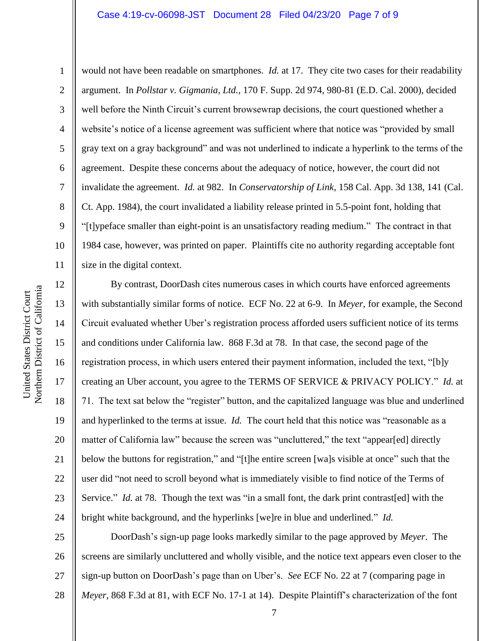#### Case 4:19-cv-06098-JST Document 28 Filed 04/23/20 Page 7 of 9

1

2

3

4

5

8

9

11

12

13

14

15

16

17

18

19

20

21

22

23

24

6 7 10 would not have been readable on smartphones. *Id.* at 17. They cite two cases for their readability argument. In *Pollstar v. Gigmania, Ltd.*, 170 F. Supp. 2d 974, 980-81 (E.D. Cal. 2000), decided well before the Ninth Circuit's current browsewrap decisions, the court questioned whether a website's notice of a license agreement was sufficient where that notice was "provided by small gray text on a gray background" and was not underlined to indicate a hyperlink to the terms of the agreement. Despite these concerns about the adequacy of notice, however, the court did not invalidate the agreement. *Id.* at 982. In *Conservatorship of Link*, 158 Cal. App. 3d 138, 141 (Cal. Ct. App. 1984), the court invalidated a liability release printed in 5.5-point font, holding that "[t]ypeface smaller than eight-point is an unsatisfactory reading medium." The contract in that 1984 case, however, was printed on paper. Plaintiffs cite no authority regarding acceptable font size in the digital context.

By contrast, DoorDash cites numerous cases in which courts have enforced agreements with substantially similar forms of notice. ECF No. 22 at 6-9. In *Meyer*, for example, the Second Circuit evaluated whether Uber's registration process afforded users sufficient notice of its terms and conditions under California law. 868 F.3d at 78. In that case, the second page of the registration process, in which users entered their payment information, included the text, "[b]y creating an Uber account, you agree to the TERMS OF SERVICE & PRIVACY POLICY." *Id.* at 71. The text sat below the "register" button, and the capitalized language was blue and underlined and hyperlinked to the terms at issue. *Id.* The court held that this notice was "reasonable as a matter of California law" because the screen was "uncluttered," the text "appear[ed] directly below the buttons for registration," and "[t]he entire screen [wa]s visible at once" such that the user did "not need to scroll beyond what is immediately visible to find notice of the Terms of Service." *Id.* at 78. Though the text was "in a small font, the dark print contrast[ed] with the bright white background, and the hyperlinks [we]re in blue and underlined." *Id.*

25 26 27 28 DoorDash's sign-up page looks markedly similar to the page approved by *Meyer*. The screens are similarly uncluttered and wholly visible, and the notice text appears even closer to the sign-up button on DoorDash's page than on Uber's. *See* ECF No. 22 at 7 (comparing page in *Meyer*, 868 F.3d at 81, with ECF No. 17-1 at 14). Despite Plaintiff's characterization of the font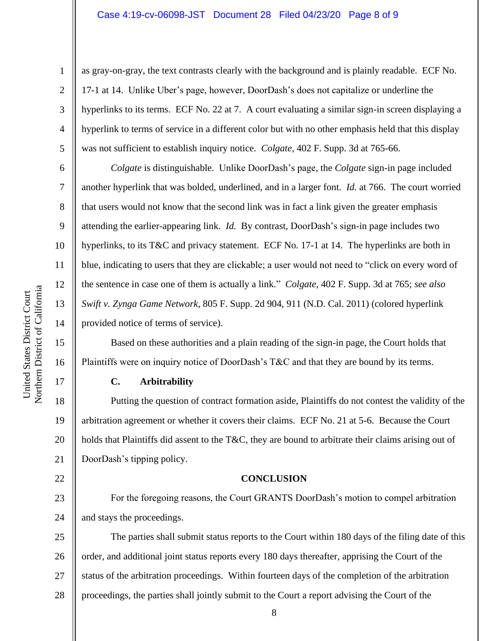#### Case 4:19-cv-06098-JST Document 28 Filed 04/23/20 Page 8 of 9

Northern District of California Northern District of California United States District Court United States District Court

1

2

3

4

5

6

7

8

9

10

11

12

13

14

15

16

17

18

19

22

as gray-on-gray, the text contrasts clearly with the background and is plainly readable. ECF No. 17-1 at 14. Unlike Uber's page, however, DoorDash's does not capitalize or underline the hyperlinks to its terms. ECF No. 22 at 7. A court evaluating a similar sign-in screen displaying a hyperlink to terms of service in a different color but with no other emphasis held that this display was not sufficient to establish inquiry notice. *Colgate*, 402 F. Supp. 3d at 765-66.

*Colgate* is distinguishable. Unlike DoorDash's page, the *Colgate* sign-in page included another hyperlink that was bolded, underlined, and in a larger font. *Id.* at 766. The court worried that users would not know that the second link was in fact a link given the greater emphasis attending the earlier-appearing link. *Id.* By contrast, DoorDash's sign-in page includes two hyperlinks, to its T&C and privacy statement. ECF No. 17-1 at 14. The hyperlinks are both in blue, indicating to users that they are clickable; a user would not need to "click on every word of the sentence in case one of them is actually a link." *Colgate*, 402 F. Supp. 3d at 765; *see also Swift v. Zynga Game Network*, 805 F. Supp. 2d 904, 911 (N.D. Cal. 2011) (colored hyperlink provided notice of terms of service).

Based on these authorities and a plain reading of the sign-in page, the Court holds that Plaintiffs were on inquiry notice of DoorDash's T&C and that they are bound by its terms.

#### **C. Arbitrability**

20 21 Putting the question of contract formation aside, Plaintiffs do not contest the validity of the arbitration agreement or whether it covers their claims. ECF No. 21 at 5-6. Because the Court holds that Plaintiffs did assent to the T&C, they are bound to arbitrate their claims arising out of DoorDash's tipping policy.

#### **CONCLUSION**

23 24 For the foregoing reasons, the Court GRANTS DoorDash's motion to compel arbitration and stays the proceedings.

25 26 27 28 The parties shall submit status reports to the Court within 180 days of the filing date of this order, and additional joint status reports every 180 days thereafter, apprising the Court of the status of the arbitration proceedings. Within fourteen days of the completion of the arbitration proceedings, the parties shall jointly submit to the Court a report advising the Court of the